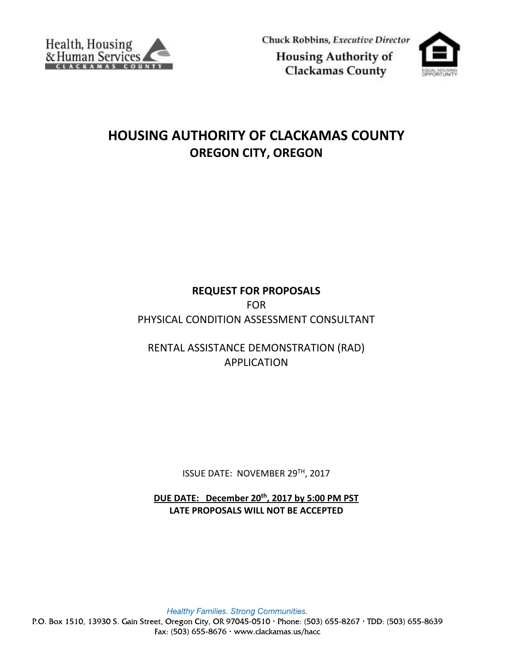

Chuck Robbins, Executive Director **Housing Authority of** 

**Clackamas County** 

# **HOUSING AUTHORITY OF CLACKAMAS COUNTY OREGON CITY, OREGON**

# **REQUEST FOR PROPOSALS** FOR PHYSICAL CONDITION ASSESSMENT CONSULTANT

RENTAL ASSISTANCE DEMONSTRATION (RAD) APPLICATION

ISSUE DATE: NOVEMBER 29TH, 2017

**DUE DATE: December 20th , 2017 by 5:00 PM PST LATE PROPOSALS WILL NOT BE ACCEPTED**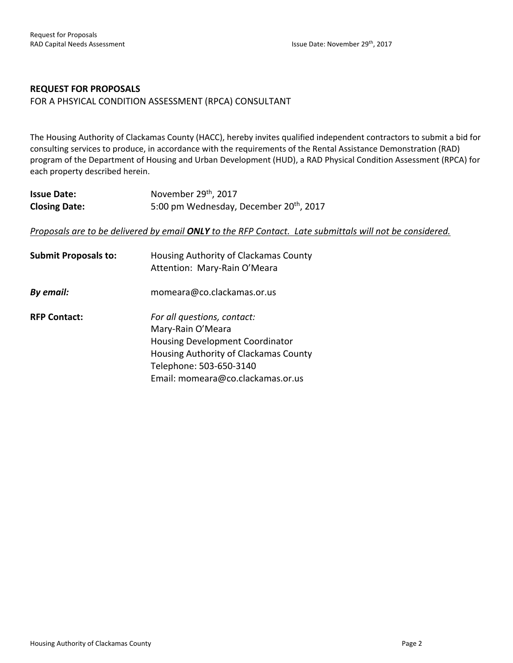# **REQUEST FOR PROPOSALS**

FOR A PHSYICAL CONDITION ASSESSMENT (RPCA) CONSULTANT

The Housing Authority of Clackamas County (HACC), hereby invites qualified independent contractors to submit a bid for consulting services to produce, in accordance with the requirements of the Rental Assistance Demonstration (RAD) program of the Department of Housing and Urban Development (HUD), a RAD Physical Condition Assessment (RPCA) for each property described herein.

| <b>Issue Date:</b>   | November 29 <sup>th</sup> , 2017                    |
|----------------------|-----------------------------------------------------|
| <b>Closing Date:</b> | 5:00 pm Wednesday, December 20 <sup>th</sup> , 2017 |

*Proposals are to be delivered by email ONLY to the RFP Contact. Late submittals will not be considered.*

| <b>Submit Proposals to:</b> | Housing Authority of Clackamas County<br>Attention: Mary-Rain O'Meara |
|-----------------------------|-----------------------------------------------------------------------|
| By email:                   | momeara@co.clackamas.or.us                                            |
| <b>RFP Contact:</b>         | For all questions, contact:<br>Mary-Rain O'Meara                      |
|                             | Housing Development Coordinator                                       |
|                             | Housing Authority of Clackamas County                                 |
|                             | Telephone: 503-650-3140                                               |
|                             | Email: momeara@co.clackamas.or.us                                     |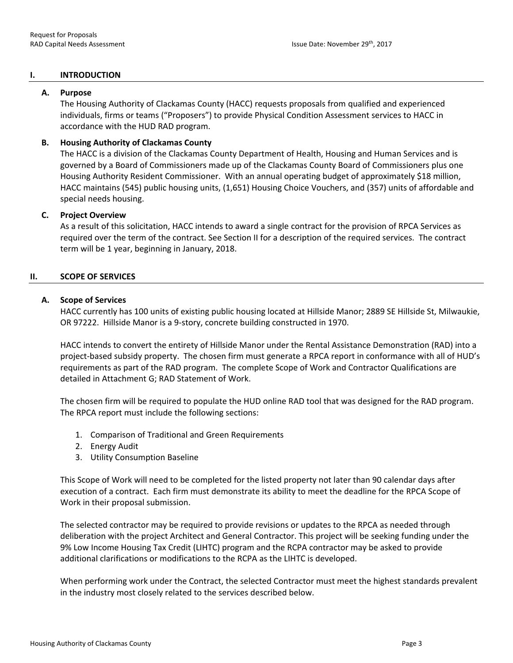#### **I. INTRODUCTION**

#### **A. Purpose**

The Housing Authority of Clackamas County (HACC) requests proposals from qualified and experienced individuals, firms or teams ("Proposers") to provide Physical Condition Assessment services to HACC in accordance with the HUD RAD program.

# **B. Housing Authority of Clackamas County**

The HACC is a division of the Clackamas County Department of Health, Housing and Human Services and is governed by a Board of Commissioners made up of the Clackamas County Board of Commissioners plus one Housing Authority Resident Commissioner. With an annual operating budget of approximately \$18 million, HACC maintains (545) public housing units, (1,651) Housing Choice Vouchers, and (357) units of affordable and special needs housing.

#### **C. Project Overview**

As a result of this solicitation, HACC intends to award a single contract for the provision of RPCA Services as required over the term of the contract. See Section II for a description of the required services. The contract term will be 1 year, beginning in January, 2018.

#### **II. SCOPE OF SERVICES**

#### **A. Scope of Services**

HACC currently has 100 units of existing public housing located at Hillside Manor; 2889 SE Hillside St, Milwaukie, OR 97222. Hillside Manor is a 9-story, concrete building constructed in 1970.

HACC intends to convert the entirety of Hillside Manor under the Rental Assistance Demonstration (RAD) into a project-based subsidy property. The chosen firm must generate a RPCA report in conformance with all of HUD's requirements as part of the RAD program. The complete Scope of Work and Contractor Qualifications are detailed in Attachment G; RAD Statement of Work.

The chosen firm will be required to populate the HUD online RAD tool that was designed for the RAD program. The RPCA report must include the following sections:

- 1. Comparison of Traditional and Green Requirements
- 2. Energy Audit
- 3. Utility Consumption Baseline

This Scope of Work will need to be completed for the listed property not later than 90 calendar days after execution of a contract. Each firm must demonstrate its ability to meet the deadline for the RPCA Scope of Work in their proposal submission.

The selected contractor may be required to provide revisions or updates to the RPCA as needed through deliberation with the project Architect and General Contractor. This project will be seeking funding under the 9% Low Income Housing Tax Credit (LIHTC) program and the RCPA contractor may be asked to provide additional clarifications or modifications to the RCPA as the LIHTC is developed.

When performing work under the Contract, the selected Contractor must meet the highest standards prevalent in the industry most closely related to the services described below.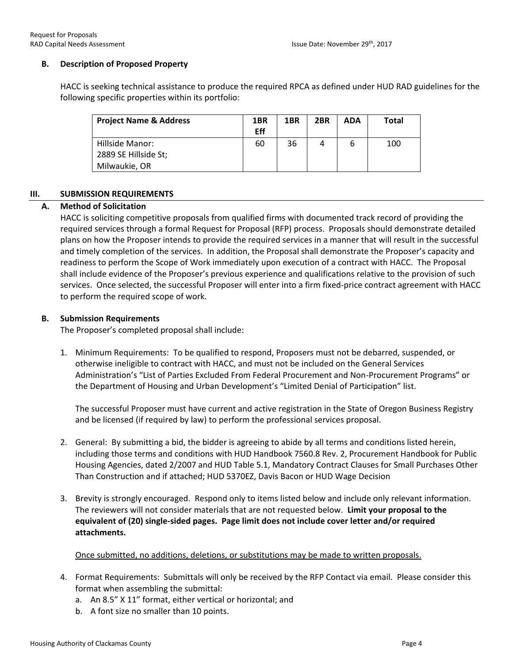# **B. Description of Proposed Property**

HACC is seeking technical assistance to produce the required RPCA as defined under HUD RAD guidelines for the following specific properties within its portfolio:

| <b>Project Name &amp; Address</b> | 1BR<br>Eff | 1 <sub>BR</sub> | 2BR | ADA | Total |
|-----------------------------------|------------|-----------------|-----|-----|-------|
| Hillside Manor:                   | 60         | 36              |     | b   | 100   |
| 2889 SE Hillside St;              |            |                 |     |     |       |
| Milwaukie, OR                     |            |                 |     |     |       |

# **III. SUBMISSION REQUIREMENTS**

# **A. Method of Solicitation**

HACC is soliciting competitive proposals from qualified firms with documented track record of providing the required services through a formal Request for Proposal (RFP) process. Proposals should demonstrate detailed plans on how the Proposer intends to provide the required services in a manner that will result in the successful and timely completion of the services. In addition, the Proposal shall demonstrate the Proposer's capacity and readiness to perform the Scope of Work immediately upon execution of a contract with HACC. The Proposal shall include evidence of the Proposer's previous experience and qualifications relative to the provision of such services. Once selected, the successful Proposer will enter into a firm fixed-price contract agreement with HACC to perform the required scope of work.

# **B. Submission Requirements**

The Proposer's completed proposal shall include:

1. Minimum Requirements: To be qualified to respond, Proposers must not be debarred, suspended, or otherwise ineligible to contract with HACC, and must not be included on the General Services Administration's "List of Parties Excluded From Federal Procurement and Non-Procurement Programs" or the Department of Housing and Urban Development's "Limited Denial of Participation" list.

The successful Proposer must have current and active registration in the State of Oregon Business Registry and be licensed (if required by law) to perform the professional services proposal.

- 2. General: By submitting a bid, the bidder is agreeing to abide by all terms and conditions listed herein, including those terms and conditions with HUD Handbook 7560.8 Rev. 2, Procurement Handbook for Public Housing Agencies, dated 2/2007 and HUD Table 5.1, Mandatory Contract Clauses for Small Purchases Other Than Construction and if attached; HUD 5370EZ, Davis Bacon or HUD Wage Decision
- 3. Brevity is strongly encouraged. Respond only to items listed below and include only relevant information. The reviewers will not consider materials that are not requested below. **Limit your proposal to the equivalent of (20) single-sided pages. Page limit does not include cover letter and/or required attachments.**

Once submitted, no additions, deletions, or substitutions may be made to written proposals.

- 4. Format Requirements: Submittals will only be received by the RFP Contact via email. Please consider this format when assembling the submittal:
	- a. An 8.5" X 11" format, either vertical or horizontal; and
	- b. A font size no smaller than 10 points.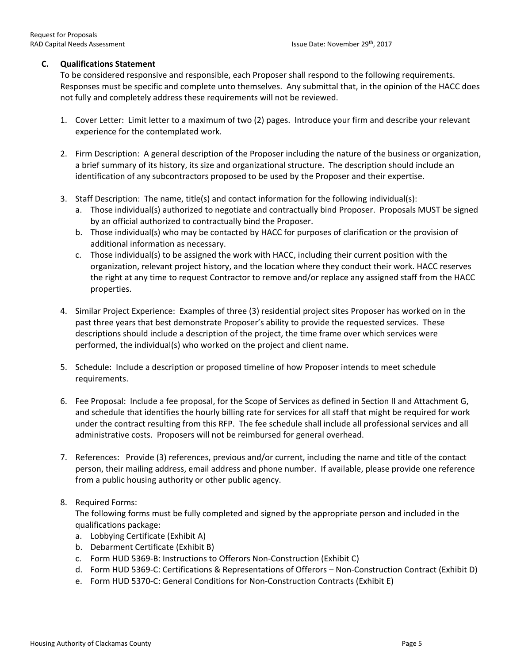# **C. Qualifications Statement**

To be considered responsive and responsible, each Proposer shall respond to the following requirements. Responses must be specific and complete unto themselves. Any submittal that, in the opinion of the HACC does not fully and completely address these requirements will not be reviewed.

- 1. Cover Letter: Limit letter to a maximum of two (2) pages. Introduce your firm and describe your relevant experience for the contemplated work.
- 2. Firm Description: A general description of the Proposer including the nature of the business or organization, a brief summary of its history, its size and organizational structure. The description should include an identification of any subcontractors proposed to be used by the Proposer and their expertise.
- 3. Staff Description: The name, title(s) and contact information for the following individual(s):
	- a. Those individual(s) authorized to negotiate and contractually bind Proposer. Proposals MUST be signed by an official authorized to contractually bind the Proposer.
	- b. Those individual(s) who may be contacted by HACC for purposes of clarification or the provision of additional information as necessary.
	- c. Those individual(s) to be assigned the work with HACC, including their current position with the organization, relevant project history, and the location where they conduct their work. HACC reserves the right at any time to request Contractor to remove and/or replace any assigned staff from the HACC properties.
- 4. Similar Project Experience: Examples of three (3) residential project sites Proposer has worked on in the past three years that best demonstrate Proposer's ability to provide the requested services. These descriptions should include a description of the project, the time frame over which services were performed, the individual(s) who worked on the project and client name.
- 5. Schedule: Include a description or proposed timeline of how Proposer intends to meet schedule requirements.
- 6. Fee Proposal: Include a fee proposal, for the Scope of Services as defined in Section II and Attachment G, and schedule that identifies the hourly billing rate for services for all staff that might be required for work under the contract resulting from this RFP. The fee schedule shall include all professional services and all administrative costs. Proposers will not be reimbursed for general overhead.
- 7. References: Provide (3) references, previous and/or current, including the name and title of the contact person, their mailing address, email address and phone number. If available, please provide one reference from a public housing authority or other public agency.
- 8. Required Forms:

The following forms must be fully completed and signed by the appropriate person and included in the qualifications package:

- a. Lobbying Certificate (Exhibit A)
- b. Debarment Certificate (Exhibit B)
- c. Form HUD 5369-B: Instructions to Offerors Non-Construction (Exhibit C)
- d. Form HUD 5369-C: Certifications & Representations of Offerors Non-Construction Contract (Exhibit D)
- e. Form HUD 5370-C: General Conditions for Non-Construction Contracts (Exhibit E)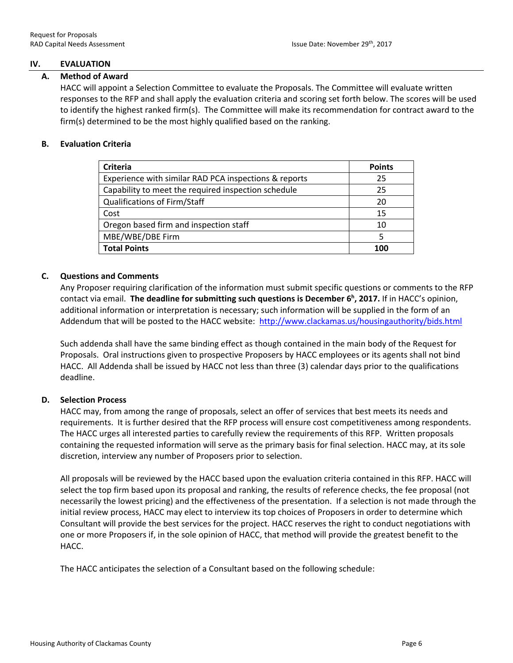# **IV. EVALUATION**

#### **A. Method of Award**

HACC will appoint a Selection Committee to evaluate the Proposals. The Committee will evaluate written responses to the RFP and shall apply the evaluation criteria and scoring set forth below. The scores will be used to identify the highest ranked firm(s). The Committee will make its recommendation for contract award to the firm(s) determined to be the most highly qualified based on the ranking.

#### **B. Evaluation Criteria**

| <b>Criteria</b>                                       | <b>Points</b> |
|-------------------------------------------------------|---------------|
| Experience with similar RAD PCA inspections & reports | 25            |
| Capability to meet the required inspection schedule   | 25            |
| Qualifications of Firm/Staff                          | 20            |
| Cost                                                  | 15            |
| Oregon based firm and inspection staff                | 10            |
| MBE/WBE/DBE Firm                                      |               |
| <b>Total Points</b>                                   | 100           |

# **C. Questions and Comments**

Any Proposer requiring clarification of the information must submit specific questions or comments to the RFP contact via email. **The deadline for submitting such questions is December 6 h , 2017.** If in HACC's opinion, additional information or interpretation is necessary; such information will be supplied in the form of an Addendum that will be posted to the HACC website:<http://www.clackamas.us/housingauthority/bids.html>

Such addenda shall have the same binding effect as though contained in the main body of the Request for Proposals. Oral instructions given to prospective Proposers by HACC employees or its agents shall not bind HACC. All Addenda shall be issued by HACC not less than three (3) calendar days prior to the qualifications deadline.

# **D. Selection Process**

HACC may, from among the range of proposals, select an offer of services that best meets its needs and requirements. It is further desired that the RFP process will ensure cost competitiveness among respondents. The HACC urges all interested parties to carefully review the requirements of this RFP. Written proposals containing the requested information will serve as the primary basis for final selection. HACC may, at its sole discretion, interview any number of Proposers prior to selection.

All proposals will be reviewed by the HACC based upon the evaluation criteria contained in this RFP. HACC will select the top firm based upon its proposal and ranking, the results of reference checks, the fee proposal (not necessarily the lowest pricing) and the effectiveness of the presentation. If a selection is not made through the initial review process, HACC may elect to interview its top choices of Proposers in order to determine which Consultant will provide the best services for the project. HACC reserves the right to conduct negotiations with one or more Proposers if, in the sole opinion of HACC, that method will provide the greatest benefit to the HACC.

The HACC anticipates the selection of a Consultant based on the following schedule: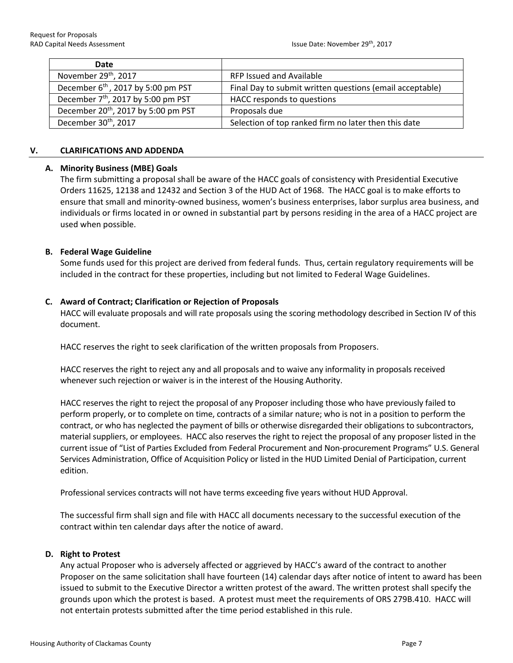| Date                                            |                                                          |
|-------------------------------------------------|----------------------------------------------------------|
| November 29 <sup>th</sup> , 2017                | RFP Issued and Available                                 |
| December 6 <sup>th</sup> , 2017 by 5:00 pm PST  | Final Day to submit written questions (email acceptable) |
| December 7 <sup>th</sup> , 2017 by 5:00 pm PST  | HACC responds to questions                               |
| December 20 <sup>th</sup> , 2017 by 5:00 pm PST | Proposals due                                            |
| December 30 <sup>th</sup> , 2017                | Selection of top ranked firm no later then this date     |

#### **V. CLARIFICATIONS AND ADDENDA**

# **A. Minority Business (MBE) Goals**

The firm submitting a proposal shall be aware of the HACC goals of consistency with Presidential Executive Orders 11625, 12138 and 12432 and Section 3 of the HUD Act of 1968. The HACC goal is to make efforts to ensure that small and minority-owned business, women's business enterprises, labor surplus area business, and individuals or firms located in or owned in substantial part by persons residing in the area of a HACC project are used when possible.

# **B. Federal Wage Guideline**

Some funds used for this project are derived from federal funds. Thus, certain regulatory requirements will be included in the contract for these properties, including but not limited to Federal Wage Guidelines.

# **C. Award of Contract; Clarification or Rejection of Proposals**

HACC will evaluate proposals and will rate proposals using the scoring methodology described in Section IV of this document.

HACC reserves the right to seek clarification of the written proposals from Proposers.

HACC reserves the right to reject any and all proposals and to waive any informality in proposals received whenever such rejection or waiver is in the interest of the Housing Authority.

HACC reserves the right to reject the proposal of any Proposer including those who have previously failed to perform properly, or to complete on time, contracts of a similar nature; who is not in a position to perform the contract, or who has neglected the payment of bills or otherwise disregarded their obligations to subcontractors, material suppliers, or employees. HACC also reserves the right to reject the proposal of any proposer listed in the current issue of "List of Parties Excluded from Federal Procurement and Non-procurement Programs" U.S. General Services Administration, Office of Acquisition Policy or listed in the HUD Limited Denial of Participation, current edition.

Professional services contracts will not have terms exceeding five years without HUD Approval.

The successful firm shall sign and file with HACC all documents necessary to the successful execution of the contract within ten calendar days after the notice of award.

# **D. Right to Protest**

Any actual Proposer who is adversely affected or aggrieved by HACC's award of the contract to another Proposer on the same solicitation shall have fourteen (14) calendar days after notice of intent to award has been issued to submit to the Executive Director a written protest of the award. The written protest shall specify the grounds upon which the protest is based. A protest must meet the requirements of ORS 279B.410. HACC will not entertain protests submitted after the time period established in this rule.